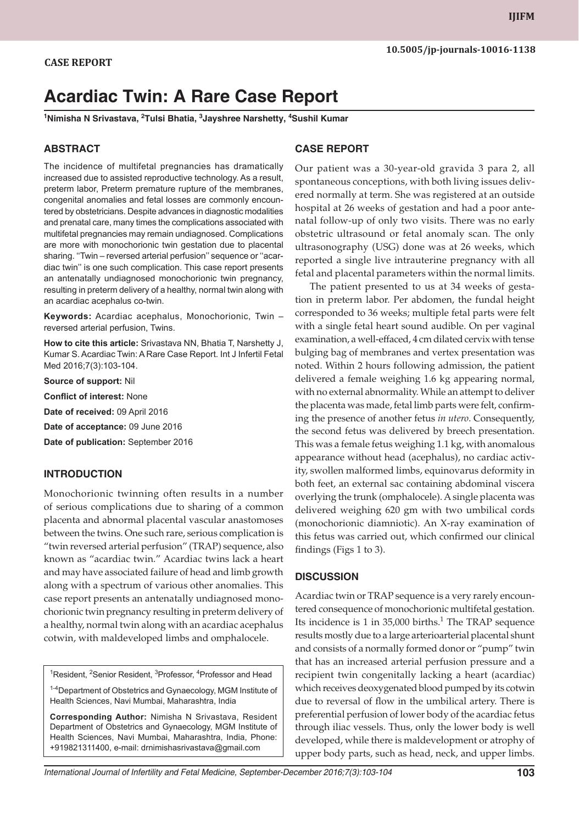# **Acardiac Twin: A Rare Case Report**

**<sup>1</sup>Nimisha N Srivastava, <sup>2</sup>Tulsi Bhatia, <sup>3</sup>Jayshree Narshetty, <sup>4</sup>Sushil Kumar**

#### **ABSTRACT**

The incidence of multifetal pregnancies has dramatically increased due to assisted reproductive technology. As a result, preterm labor, Preterm premature rupture of the membranes, congenital anomalies and fetal losses are commonly encountered by obstetricians. Despite advances in diagnostic modalities and prenatal care, many times the complications associated with multifetal pregnancies may remain undiagnosed. Complications are more with monochorionic twin gestation due to placental sharing. ''Twin – reversed arterial perfusion'' sequence or ''acardiac twin'' is one such complication. This case report presents an antenatally undiagnosed monochorionic twin pregnancy, resulting in preterm delivery of a healthy, normal twin along with an acardiac acephalus co-twin.

**Keywords:** Acardiac acephalus, Monochorionic, Twin – reversed arterial perfusion, Twins.

**How to cite this article:** Srivastava NN, Bhatia T, Narshetty J, Kumar S. Acardiac Twin: A Rare Case Report. Int J Infertil Fetal Med 2016;7(3):103-104.

**Source of support:** Nil

**Conflict of interest:** None

**Date of received:** 09 April 2016

**Date of acceptance:** 09 June 2016

**Date of publication:** September 2016

### **INTRODUCTION**

Monochorionic twinning often results in a number of serious complications due to sharing of a common placenta and abnormal placental vascular anastomoses between the twins. One such rare, serious complication is "twin reversed arterial perfusion" (TRAP) sequence, also known as "acardiac twin." Acardiac twins lack a heart and may have associated failure of head and limb growth along with a spectrum of various other anomalies. This case report presents an antenatally undiagnosed monochorionic twin pregnancy resulting in preterm delivery of a healthy, normal twin along with an acardiac acephalus cotwin, with maldeveloped limbs and omphalocele.

<sup>1</sup>Resident, <sup>2</sup>Senior Resident, <sup>3</sup>Professor, <sup>4</sup>Professor and Head

<sup>1-4</sup>Department of Obstetrics and Gynaecology, MGM Institute of Health Sciences, Navi Mumbai, Maharashtra, India

**Corresponding Author:** Nimisha N Srivastava, Resident Department of Obstetrics and Gynaecology, MGM Institute of Health Sciences, Navi Mumbai, Maharashtra, India, Phone: +919821311400, e-mail: drnimishasrivastava@gmail.com

#### **CASE REPORT**

Our patient was a 30-year-old gravida 3 para 2, all spontaneous conceptions, with both living issues delivered normally at term. She was registered at an outside hospital at 26 weeks of gestation and had a poor antenatal follow-up of only two visits. There was no early obstetric ultrasound or fetal anomaly scan. The only ultrasonography (USG) done was at 26 weeks, which reported a single live intrauterine pregnancy with all fetal and placental parameters within the normal limits.

The patient presented to us at 34 weeks of gestation in preterm labor. Per abdomen, the fundal height corresponded to 36 weeks; multiple fetal parts were felt with a single fetal heart sound audible. On per vaginal examination, a well-effaced, 4 cm dilated cervix with tense bulging bag of membranes and vertex presentation was noted. Within 2 hours following admission, the patient delivered a female weighing 1.6 kg appearing normal, with no external abnormality. While an attempt to deliver the placenta was made, fetal limb parts were felt, confirming the presence of another fetus *in utero*. Consequently, the second fetus was delivered by breech presentation. This was a female fetus weighing 1.1 kg, with anomalous appearance without head (acephalus), no cardiac activity, swollen malformed limbs, equinovarus deformity in both feet, an external sac containing abdominal viscera overlying the trunk (omphalocele). A single placenta was delivered weighing 620 gm with two umbilical cords (monochorionic diamniotic). An X-ray examination of this fetus was carried out, which confirmed our clinical findings (Figs 1 to 3).

#### **DISCUSSION**

Acardiac twin or TRAP sequence is a very rarely encountered consequence of monochorionic multifetal gestation. Its incidence is  $1$  in  $35,000$  births.<sup>1</sup> The TRAP sequence results mostly due to a large arterioarterial placental shunt and consists of a normally formed donor or "pump" twin that has an increased arterial perfusion pressure and a recipient twin congenitally lacking a heart (acardiac) which receives deoxygenated blood pumped by its cotwin due to reversal of flow in the umbilical artery. There is preferential perfusion of lower body of the acardiac fetus through iliac vessels. Thus, only the lower body is well developed, while there is maldevelopment or atrophy of upper body parts, such as head, neck, and upper limbs.